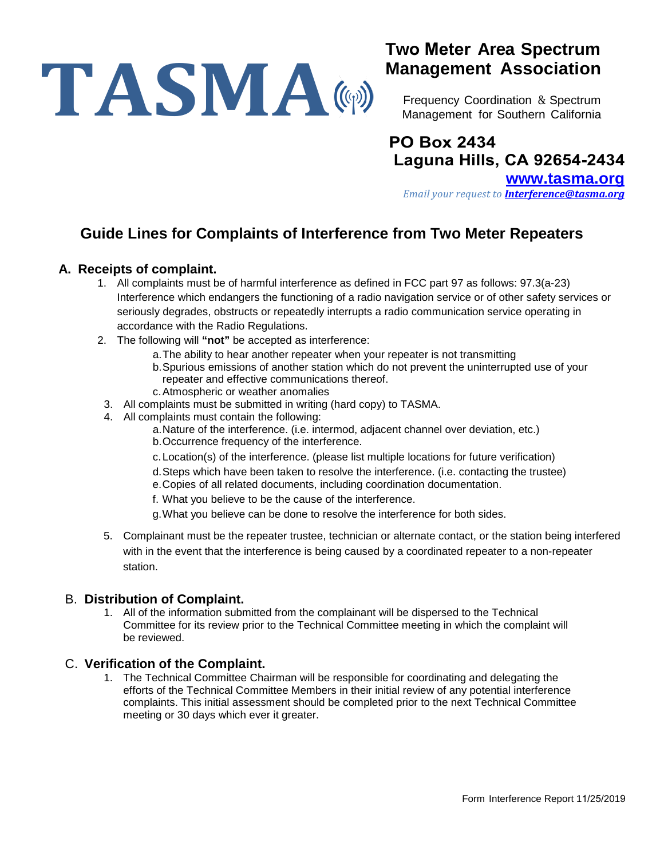# TASMA((p)

# **Two Meter Area Spectrum Management Association**

Frequency Coordination & Spectrum Management for Southern California

# **PO Box 2434 Laguna Hills, CA 92654-2434**

**[www.tasma.org](http://www.tasma.org/)** *Email your request to [Interference@tasma.org](mailto:Interference@tasma.org)*

### **Guide Lines for Complaints of Interference from Two Meter Repeaters**

#### **A. Receipts of complaint.**

- 1. All complaints must be of harmful interference as defined in FCC part 97 as follows: 97.3(a-23) Interference which endangers the functioning of a radio navigation service or of other safety services or seriously degrades, obstructs or repeatedly interrupts a radio communication service operating in accordance with the Radio Regulations.
- 2. The following will **"not"** be accepted as interference:
	- a.The ability to hear another repeater when your repeater is not transmitting
	- b.Spurious emissions of another station which do not prevent the uninterrupted use of your repeater and effective communications thereof.
	- c.Atmospheric or weather anomalies
- 3. All complaints must be submitted in writing (hard copy) to TASMA.
- 4. All complaints must contain the following:
	- a.Nature of the interference. (i.e. intermod, adjacent channel over deviation, etc.)
	- b.Occurrence frequency of the interference.
	- c. Location(s) of the interference. (please list multiple locations for future verification)
	- d. Steps which have been taken to resolve the interference. (i.e. contacting the trustee)
	- e.Copies of all related documents, including coordination documentation.
	- f. What you believe to be the cause of the interference.
	- g.What you believe can be done to resolve the interference for both sides.
- 5. Complainant must be the repeater trustee, technician or alternate contact, or the station being interfered with in the event that the interference is being caused by a coordinated repeater to a non-repeater station.

#### B. **Distribution of Complaint.**

1. All of the information submitted from the complainant will be dispersed to the Technical Committee for its review prior to the Technical Committee meeting in which the complaint will be reviewed.

#### C. **Verification of the Complaint.**

1. The Technical Committee Chairman will be responsible for coordinating and delegating the efforts of the Technical Committee Members in their initial review of any potential interference complaints. This initial assessment should be completed prior to the next Technical Committee meeting or 30 days which ever it greater.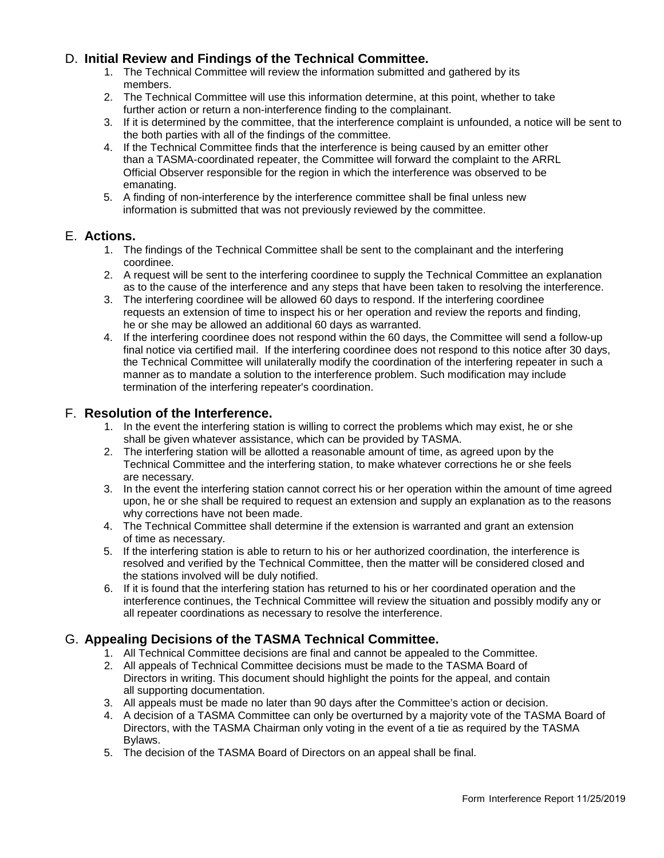#### D. **Initial Review and Findings of the Technical Committee.**

- 1. The Technical Committee will review the information submitted and gathered by its members.
- 2. The Technical Committee will use this information determine, at this point, whether to take further action or return a non-interference finding to the complainant.
- 3. If it is determined by the committee, that the interference complaint is unfounded, a notice will be sent to the both parties with all of the findings of the committee.
- 4. If the Technical Committee finds that the interference is being caused by an emitter other than a TASMA-coordinated repeater, the Committee will forward the complaint to the ARRL Official Observer responsible for the region in which the interference was observed to be emanating.
- 5. A finding of non-interference by the interference committee shall be final unless new information is submitted that was not previously reviewed by the committee.

#### E. **Actions.**

- 1. The findings of the Technical Committee shall be sent to the complainant and the interfering coordinee.
- 2. A request will be sent to the interfering coordinee to supply the Technical Committee an explanation as to the cause of the interference and any steps that have been taken to resolving the interference.
- 3. The interfering coordinee will be allowed 60 days to respond. If the interfering coordinee requests an extension of time to inspect his or her operation and review the reports and finding, he or she may be allowed an additional 60 days as warranted.
- 4. If the interfering coordinee does not respond within the 60 days, the Committee will send a follow-up final notice via certified mail. If the interfering coordinee does not respond to this notice after 30 days, the Technical Committee will unilaterally modify the coordination of the interfering repeater in such a manner as to mandate a solution to the interference problem. Such modification may include termination of the interfering repeater's coordination.

#### F. **Resolution of the Interference.**

- 1. In the event the interfering station is willing to correct the problems which may exist, he or she shall be given whatever assistance, which can be provided by TASMA.
- 2. The interfering station will be allotted a reasonable amount of time, as agreed upon by the Technical Committee and the interfering station, to make whatever corrections he or she feels are necessary.
- 3. In the event the interfering station cannot correct his or her operation within the amount of time agreed upon, he or she shall be required to request an extension and supply an explanation as to the reasons why corrections have not been made.
- 4. The Technical Committee shall determine if the extension is warranted and grant an extension of time as necessary.
- 5. If the interfering station is able to return to his or her authorized coordination, the interference is resolved and verified by the Technical Committee, then the matter will be considered closed and the stations involved will be duly notified.
- 6. If it is found that the interfering station has returned to his or her coordinated operation and the interference continues, the Technical Committee will review the situation and possibly modify any or all repeater coordinations as necessary to resolve the interference.

#### G. **Appealing Decisions of the TASMA Technical Committee.**

- 1. All Technical Committee decisions are final and cannot be appealed to the Committee.
- 2. All appeals of Technical Committee decisions must be made to the TASMA Board of Directors in writing. This document should highlight the points for the appeal, and contain all supporting documentation.
- 3. All appeals must be made no later than 90 days after the Committee's action or decision.
- 4. A decision of a TASMA Committee can only be overturned by a majority vote of the TASMA Board of Directors, with the TASMA Chairman only voting in the event of a tie as required by the TASMA Bylaws.
- 5. The decision of the TASMA Board of Directors on an appeal shall be final.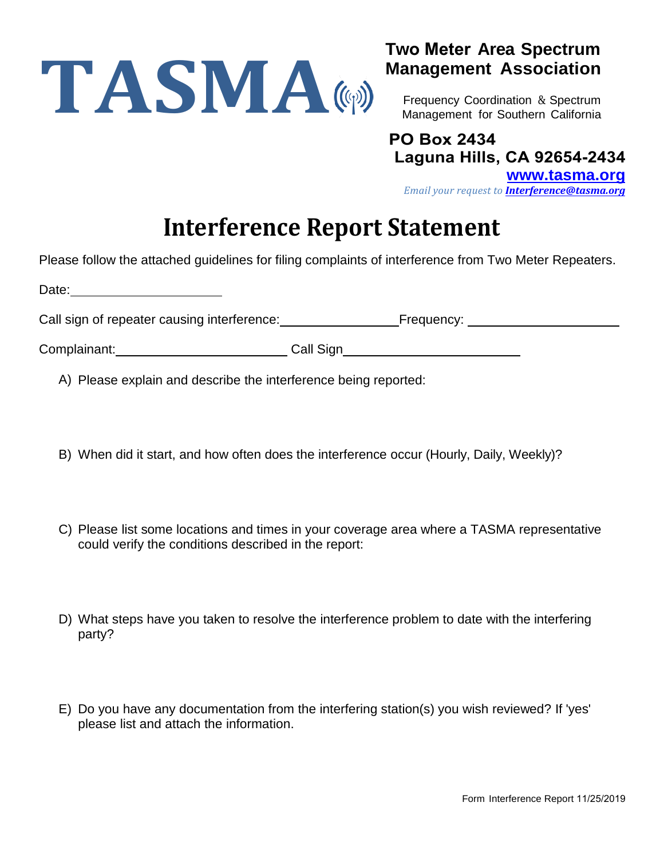

## **Two Meter Area Spectrum Management Association**

Frequency Coordination & Spectrum Management for Southern California

**PO Box 2434 Laguna Hills, CA 92654-2434 [www.tasma.org](http://www.tasma.org/)** *Email your request to [Interference@tasma.org](mailto:Interference@tasma.org)*

# **Interference Report Statement**

Please follow the attached guidelines for filing complaints of interference from Two Meter Repeaters.

| Date:                                       |           |                       |
|---------------------------------------------|-----------|-----------------------|
| Call sign of repeater causing interference: |           | Frequency: __________ |
| Complainant:                                | Call Sign |                       |

A) Please explain and describe the interference being reported:

- B) When did it start, and how often does the interference occur (Hourly, Daily, Weekly)?
- C) Please list some locations and times in your coverage area where a TASMA representative could verify the conditions described in the report:
- D) What steps have you taken to resolve the interference problem to date with the interfering party?
- E) Do you have any documentation from the interfering station(s) you wish reviewed? If 'yes' please list and attach the information.